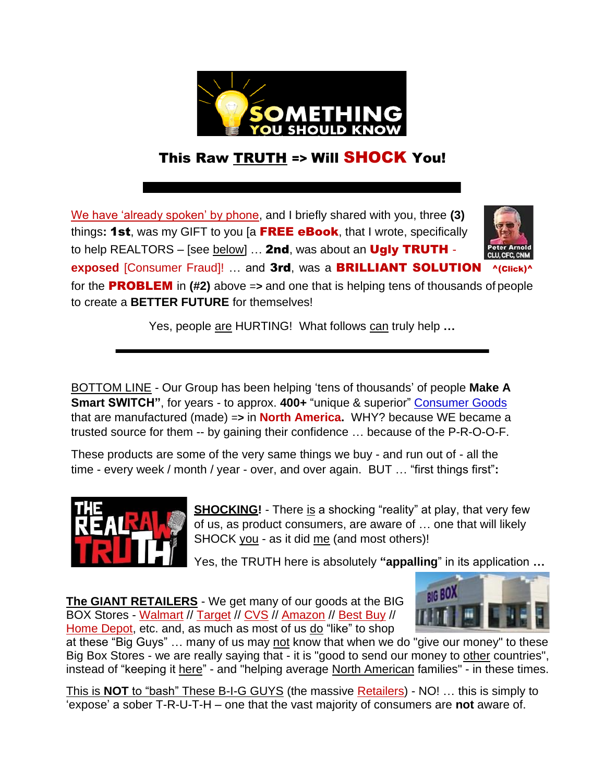

## This Raw TRUTH => Will SHOCK You!

We have 'already spoken' by phone, and I briefly shared with you, three **(3)**  things**:** 1st, was my GIFT to you [a FREE eBook, that I wrote, specifically to help REALTORS – [see below]  $\dots$  2nd, was about an Ugly TRUTH exposed *[Consumer Fraud]!* ... and 3rd, was a BRILLIANT SOLUTION



for the PROBLEM in **(#2)** above =**>** and one that is helping tens of thousands of people to create a **BETTER FUTURE** for themselves!

Yes, people are HURTING! What follows can truly help **…**

BOTTOM LINE - Our Group has been helping 'tens of thousands' of people **Make A Smart SWITCH"**, for years - to approx. **400+** "unique & superior" [Consumer Goods](https://www.keepandshare.com/doc20/25438/prods-a1-converted-pdf-148k?da=y) that are manufactured (made) =**>** in **North America.** WHY? because WE became a trusted source for them -- by gaining their confidence … because of the P-R-O-O-F.

These products are some of the very same things we buy - and run out of - all the time - every week / month / year - over, and over again. BUT … "first things first"**:**



**SHOCKING!** - There is a shocking "reality" at play, that very few of us, as product consumers, are aware of … one that will likely SHOCK you - as it did me (and most others)!

Yes, the TRUTH here is absolutely **"appalling**" in its application **…**

**The GIANT RETAILERS** - We get many of our goods at the BIG BOX Stores - Walmart // Target // CVS // Amazon // Best Buy // Home Depot, etc. and, as much as most of us do "like" to shop



at these "Big Guys" … many of us may not know that when we do "give our money" to these Big Box Stores - we are really saying that - it is "good to send our money to other countries", instead of "keeping it here" - and "helping average North American families" - in these times.

This is **NOT** to "bash" These B-I-G GUYS (the massive Retailers) - NO! … this is simply to 'expose' a sober T-R-U-T-H – one that the vast majority of consumers are **not** aware of.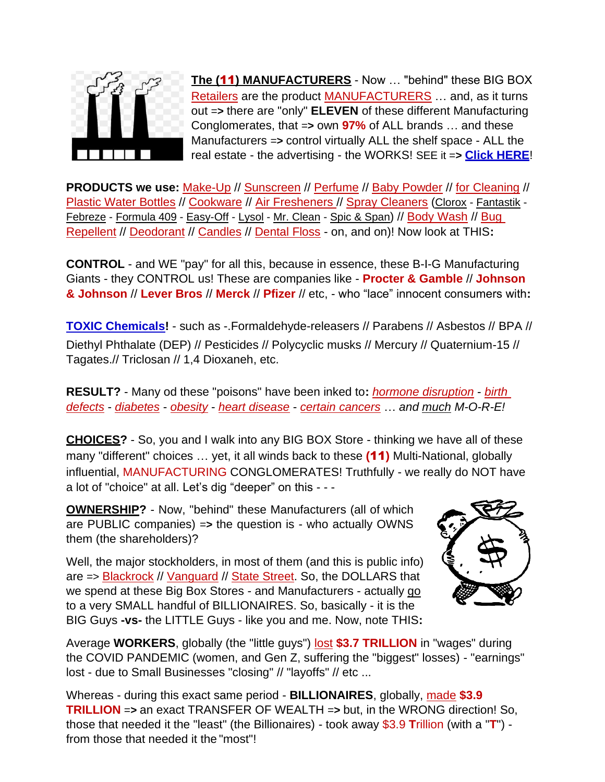

**The (**11**) MANUFACTURERS** - Now … "behind" these BIG BOX Retailers are the product MANUFACTURERS … and, as it turns out =**>** there are "only" **ELEVEN** of these different Manufacturing Conglomerates, that =**>** own **97%** of ALL brands … and these Manufacturers =**>** control virtually ALL the shelf space - ALL the real estate - the advertising - the WORKS! SEE it =**> [Click HERE](https://www.keepandshare.com/doc20/25389/11-cos-converted-pdf-157k?da=y)**!

**PRODUCTS we use:** Make-Up // Sunscreen // Perfume // Baby Powder // for Cleaning // Plastic Water Bottles // Cookware // Air Fresheners // Spray Cleaners (Clorox - Fantastik -Febreze - Formula 409 - Easy-Off - Lysol - Mr. Clean - Spic & Span) // Body Wash // Bug Repellent // Deodorant // Candles // Dental Floss - on, and on)! Now look at THIS**:**

**CONTROL** - and WE "pay" for all this, because in essence, these B-I-G Manufacturing Giants - they CONTROL us! These are companies like - **Procter & Gamble** // **Johnson & Johnson** // **Lever Bros** // **Merck** // **Pfizer** // etc, - who "lace" innocent consumers with**:**

**[TOXIC Chemicals!](http://safemarkets.org/assets/media/images/Documents/Hazardous%20Hundred%20List.pdf)** - such as -.Formaldehyde-releasers // Parabens // Asbestos // BPA // Diethyl Phthalate (DEP) // Pesticides // Polycyclic musks // Mercury // Quaternium-15 // Tagates.// Triclosan // 1,4 Dioxaneh, etc.

**RESULT?** - Many od these "poisons" have been inked to**:** *hormone disruption* - *birth defects* - *diabetes* - *obesity* - *heart disease* - *certain cancers* … *and much M-O-R-E!*

**CHOICES?** - So, you and I walk into any BIG BOX Store - thinking we have all of these many "different" choices … yet, it all winds back to these **(**11**)** Multi-National, globally influential, MANUFACTURING CONGLOMERATES! Truthfully - we really do NOT have a lot of "choice" at all. Let's dig "deeper" on this - - -

**OWNERSHIP?** - Now, "behind" these Manufacturers (all of which are PUBLIC companies) =**>** the question is - who actually OWNS them (the shareholders)?

Well, the major stockholders, in most of them (and this is public info) are => Blackrock // Vanguard // State Street. So, the DOLLARS that we spend at these Big Box Stores - and Manufacturers - actually go to a very SMALL handful of BILLIONAIRES. So, basically - it is the BIG Guys **-vs-** the LITTLE Guys - like you and me. Now, note THIS**:**



Average **WORKERS**, globally (the "little guys") lost **\$3.7 TRILLION** in "wages" during the COVID PANDEMIC (women, and Gen Z, suffering the "biggest" losses) - "earnings" lost - due to Small Businesses "closing" // "layoffs" // etc ...

Whereas - during this exact same period - **BILLIONAIRES**, globally, made **\$3.9 TRILLION** =**>** an exact TRANSFER OF WEALTH =**>** but, in the WRONG direction! So, those that needed it the "least" (the Billionaires) - took away \$3.9 **T**rillion (with a "**T**") from those that needed it the "most"!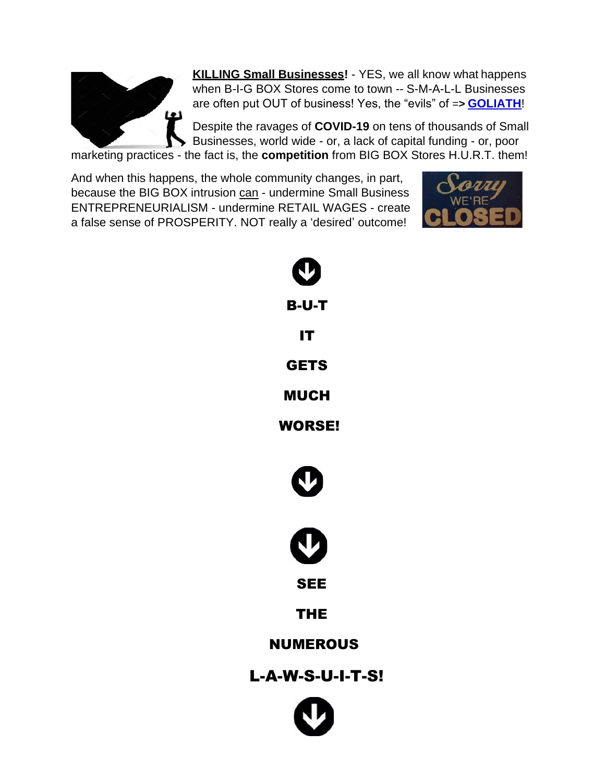

**KILLING Small Businesses!** - YES, we all know what happens when B-I-G BOX Stores come to town -- S-M-A-L-L Businesses are often put OUT of business! Yes, the "evils" of =**> [GOLIATH](https://www.keepandshare.com/doc20/23950/goliath-converted-pdf-268k?da=y)**!

Despite the ravages of **COVID-19** on tens of thousands of Small Businesses, world wide - or, a lack of capital funding - or, poor

marketing practices - the fact is, the **competition** from BIG BOX Stores H.U.R.T. them!

And when this happens, the whole community changes, in part, because the BIG BOX intrusion can - undermine Small Business ENTREPRENEURIALISM - undermine RETAIL WAGES - create a false sense of PROSPERITY. NOT really a 'desired' outcome!



| <b>B-U-T</b>     |  |
|------------------|--|
| <b>IT</b>        |  |
| <b>GETS</b>      |  |
| <b>MUCH</b>      |  |
| <b>WORSE!</b>    |  |
| Ø                |  |
|                  |  |
| <b>SEE</b>       |  |
| <b>THE</b>       |  |
| <b>NUMEROUS</b>  |  |
| L-A-W-S-U-I-T-S! |  |
|                  |  |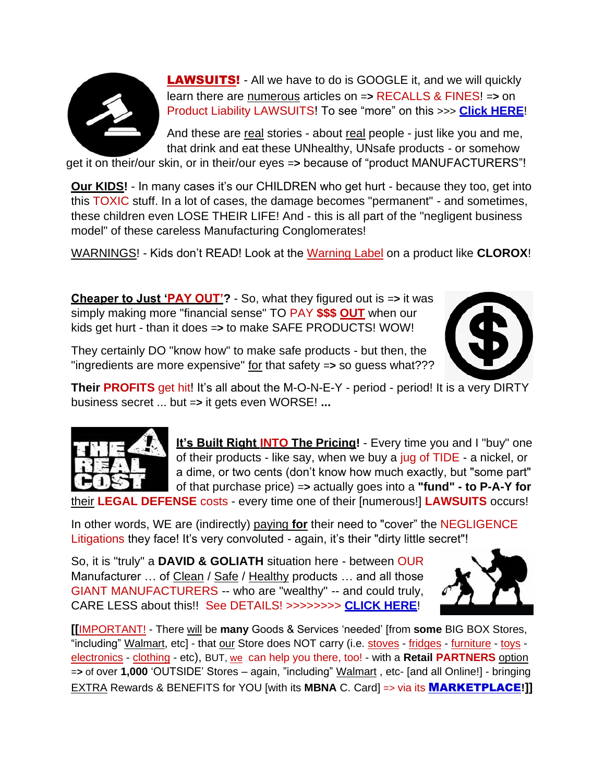

**LAWSUITS!** - All we have to do is GOOGLE it, and we will quickly learn there are numerous articles on =**>** RECALLS & FINES! =**>** on Product Liability LAWSUITS! To see "more" on this >>> **[Click HERE](https://www.keepandshare.com/doc20/23046/dangers-converted-pdf-520k?da=y)**!

And these are real stories - about real people - just like you and me, that drink and eat these UNhealthy, UNsafe products - or somehow

get it on their/our skin, or in their/our eyes =**>** because of "product MANUFACTURERS"!

**Our KIDS!** - In many cases it's our CHILDREN who get hurt - because they too, get into this TOXIC stuff. In a lot of cases, the damage becomes "permanent" - and sometimes, these children even LOSE THEIR LIFE! And - this is all part of the "negligent business model" of these careless Manufacturing Conglomerates!

WARNINGS! - Kids don't READ! Look at the Warning Label on a product like **CLOROX**!

**Cheaper to Just 'PAY OUT'?** - So, what they figured out is =**>** it was simply making more "financial sense" TO PAY **\$\$\$ OUT** when our kids get hurt - than it does =**>** to make SAFE PRODUCTS! WOW!

They certainly DO "know how" to make safe products - but then, the "ingredients are more expensive" for that safety =**>** so guess what???



**Their PROFITS** get hit! It's all about the M-O-N-E-Y - period - period! It is a very DIRTY business secret ... but =**>** it gets even WORSE! **...**



**It's Built Right INTO The Pricing!** - Every time you and I "buy" one of their products - like say, when we buy a jug of TIDE - a nickel, or a dime, or two cents (don't know how much exactly, but "some part" of that purchase price) =**>** actually goes into a **"fund" - to P-A-Y for** their **LEGAL DEFENSE** costs - every time one of their [numerous!] **LAWSUITS** occurs!

In other words, WE are (indirectly) paying **for** their need to "cover" the NEGLIGENCE Litigations they face! It's very convoluted - again, it's their "dirty little secret"!

So, it is "truly" a **DAVID & GOLIATH** situation here - between OUR Manufacturer … of Clean / Safe / Healthy products … and all those GIANT MANUFACTURERS -- who are "wealthy" -- and could truly, CARE LESS about this!! See DETAILS! >>>>>>>> **[CLICK HERE](https://www.keepandshare.com/doc20/23987/alert-converted-pdf-194k?da=y)**!



**[[**IMPORTANT! - There will be **many** Goods & Services 'needed' [from **some** BIG BOX Stores, "including" Walmart, etc] - that our Store does NOT carry (i.e. stoves - fridges - furniture - toys electronics - clothing - etc), BUT, we can help you there, too! - with a **Retail PARTNERS** option =**>** of over **1,000** 'OUTSIDE' Stores – again, "including" Walmart , etc- [and all Online!] - bringing EXTRA Rewards & BENEFITS for YOU [with its **MBNA** C. Card] => via its [M](https://www.keepandshare.com/doc20/24633/mktpl-retail-converted-pdf-518k?da=y)[ARKETPLACE](https://www.keepandshare.com/doc20/24633/mktpl-retail-converted-pdf-518k?da=y)**!]]**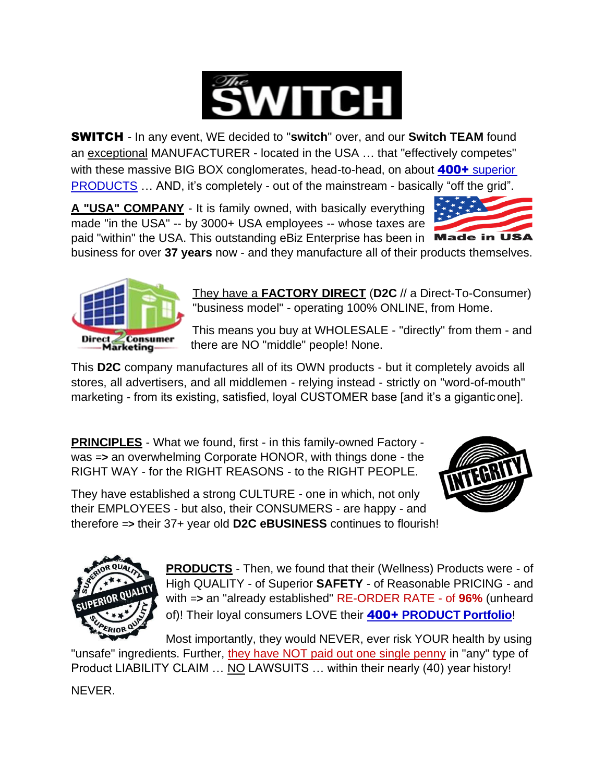

SWITCH - In any event, WE decided to "**switch**" over, and our **Switch TEAM** found an exceptional MANUFACTURER - located in the USA … that "effectively competes" with these massive BIG BOX conglomerates, head-to-head, on about **400+** superior [PRODUCTS](https://www.keepandshare.com/doc20/25438/prods-a1-converted-pdf-148k?da=y) … AND, it's completely - out of the mainstream - basically "off the grid".

**A "USA" COMPANY** - It is family owned, with basically everything made "in the USA" -- by 3000+ USA employees -- whose taxes are paid "within" the USA. This outstanding eBiz Enterprise has been in Made in USA



business for over **37 years** now - and they manufacture all of their products themselves.



They have a **FACTORY DIRECT** (**D2C** // a Direct-To-Consumer) "business model" - operating 100% ONLINE, from Home.

This means you buy at WHOLESALE - "directly" from them - and there are NO "middle" people! None.

This **D2C** company manufactures all of its OWN products - but it completely avoids all stores, all advertisers, and all middlemen - relying instead - strictly on "word-of-mouth" marketing - from its existing, satisfied, loyal CUSTOMER base [and it's a gigantic one].

**PRINCIPLES** - What we found, first - in this family-owned Factory was =**>** an overwhelming Corporate HONOR, with things done - the RIGHT WAY - for the RIGHT REASONS - to the RIGHT PEOPLE.



They have established a strong CULTURE - one in which, not only their EMPLOYEES - but also, their CONSUMERS - are happy - and therefore =**>** their 37+ year old **D2C eBUSINESS** continues to flourish!



**PRODUCTS** - Then, we found that their (Wellness) Products were - of High QUALITY - of Superior **SAFETY** - of Reasonable PRICING - and with =**>** an "already established" RE-ORDER RATE - of **96%** (unheard of)! Their loyal consumers LOVE their 400+ **[PRODUCT](https://www.keepandshare.com/doc20/25438/prods-a1-converted-pdf-148k?da=y) [Portfolio](https://www.keepandshare.com/doc20/25438/prods-a1-converted-pdf-148k?da=y)**!

Most importantly, they would NEVER, ever risk YOUR health by using "unsafe" ingredients. Further, they have NOT paid out one single penny in "any" type of Product LIABILITY CLAIM … NO LAWSUITS … within their nearly (40) year history!

NEVER.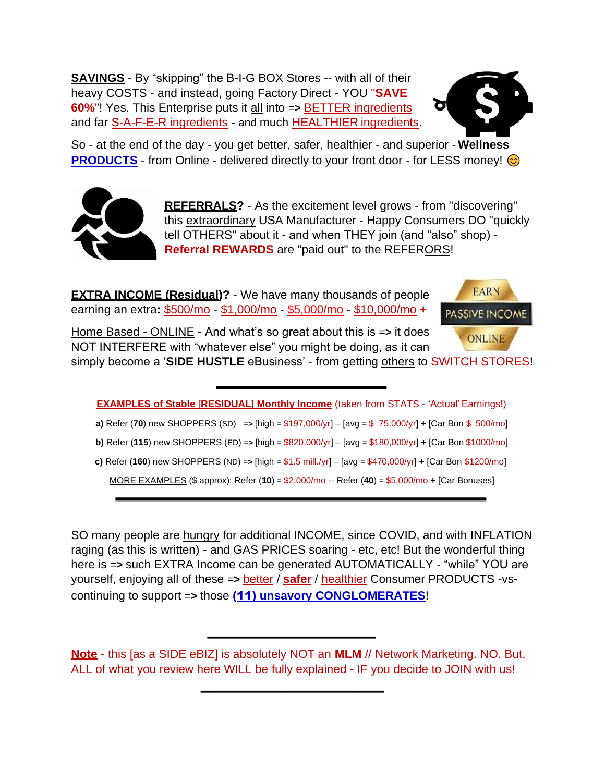**SAVINGS** - By "skipping" the B-I-G BOX Stores -- with all of their heavy COSTS - and instead, going Factory Direct - YOU "**SAVE 60%**"! Yes. This Enterprise puts it all into =**>** BETTER ingredients and far S-A-F-E-R ingredients - and much HEALTHIER ingredients.



So - at the end of the day - you get better, safer, healthier - and superior - **Wellness [PRODUCTS](https://www.keepandshare.com/doc20/25438/prods-a1-converted-pdf-148k?da=y)** - from Online - delivered directly to your front door - for LESS money!



**REFERRALS?** - As the excitement level grows - from "discovering" this extraordinary USA Manufacturer - Happy Consumers DO "quickly tell OTHERS" about it - and when THEY join (and "also" shop) - **Referral REWARDS** are "paid out" to the REFERORS!

**EXTRA INCOME (Residual)?** - We have many thousands of people earning an extra**:** \$500/mo - \$1,000/mo - \$5,000/mo - \$10,000/mo **+**



Home Based - ONLINE - And what's so great about this is =**>** it does NOT INTERFERE with "whatever else" you might be doing, as it can

simply become a '**SIDE HUSTLE** eBusiness' - from getting others to SWITCH STORES!

| <b>EXAMPLES of Stable [RESIDUAL] Monthly Income (taken from STATS - 'Actual' Earnings!)</b>                   |  |
|---------------------------------------------------------------------------------------------------------------|--|
| a) Refer (70) new SHOPPERS (SD) => [high = $$197,000/yr$ ] - [avg = $$75,000/yr$ ] + [Car Bon $$500/mo$ ]     |  |
| b) Refer (115) new SHOPPERS (ED) => [high = $$820,000/yr] - [avg = $180,000/yr] + [Car Bon $1000/mo]$         |  |
| c) Refer (160) new SHOPPERS (ND) => [high = $$1.5$ mill./yr] - [avg = $$470,000$ /yr] + [Car Bon $$1200$ /mo] |  |
| MORE EXAMPLES (\$ approx): Refer (10) = \$2,000/mo -- Refer (40) = \$5,000/mo + [Car Bonuses]                 |  |

SO many people are hungry for additional INCOME, since COVID, and with INFLATION raging (as this is written) - and GAS PRICES soaring - etc, etc! But the wonderful thing here is =**>** such EXTRA Income can be generated AUTOMATICALLY - "while" YOU are yourself, enjoying all of these =**>** better / **safer** / healthier Consumer PRODUCTS -vscontinuing to support =**>** those **(**[11](https://www.keepandshare.com/doc20/25389/11-cos-converted-pdf-157k?da=y)**[\) unsavory CONGLOMERATES](https://www.keepandshare.com/doc20/25389/11-cos-converted-pdf-157k?da=y)**!

**Note** - this [as a SIDE eBIZ] is absolutely NOT an **MLM** // Network Marketing. NO. But, ALL of what you review here WILL be fully explained - IF you decide to JOIN with us!